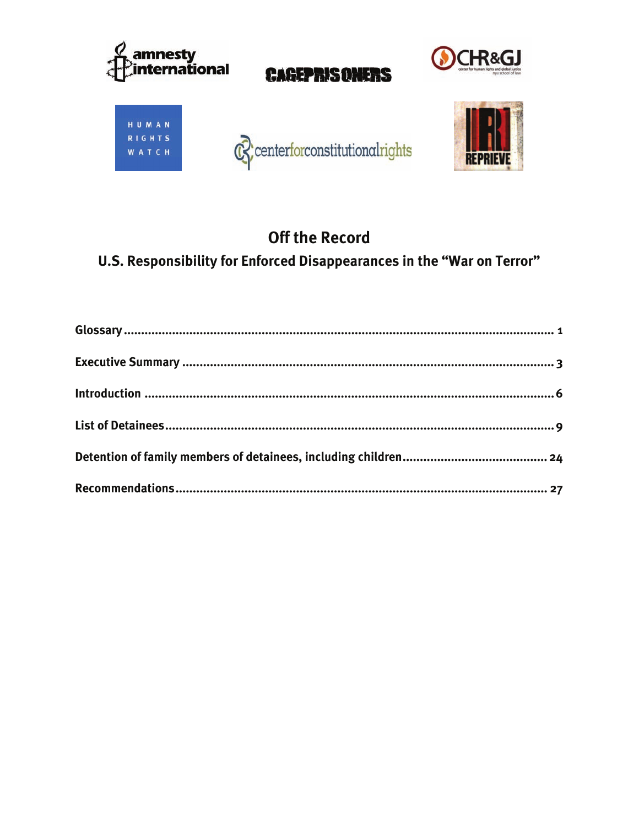

# **Off the Record**

# U.S. Responsibility for Enforced Disappearances in the "War on Terror"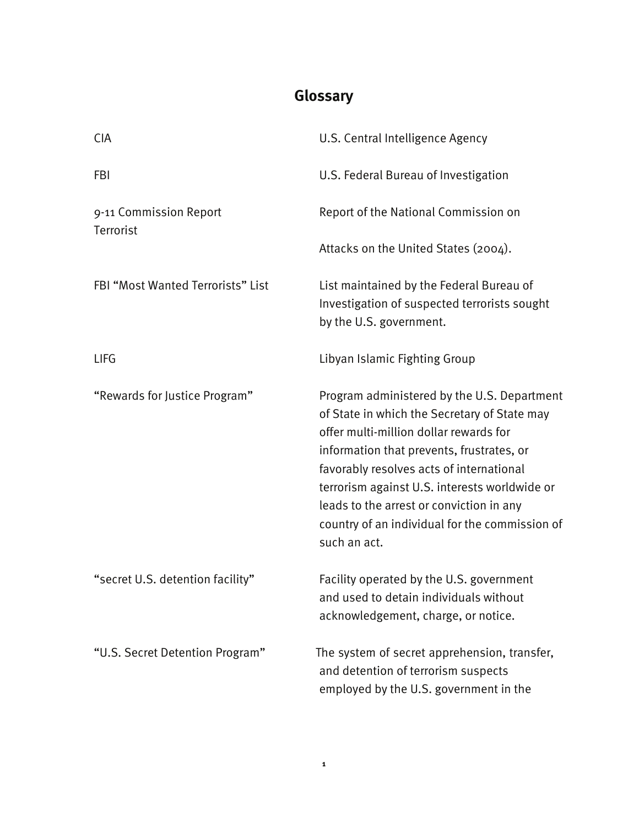# **Glossary**

| <b>CIA</b>                          | U.S. Central Intelligence Agency                                                                                                                                                                                                                                                                                                                                                              |
|-------------------------------------|-----------------------------------------------------------------------------------------------------------------------------------------------------------------------------------------------------------------------------------------------------------------------------------------------------------------------------------------------------------------------------------------------|
| <b>FBI</b>                          | U.S. Federal Bureau of Investigation                                                                                                                                                                                                                                                                                                                                                          |
| 9-11 Commission Report<br>Terrorist | Report of the National Commission on                                                                                                                                                                                                                                                                                                                                                          |
|                                     | Attacks on the United States (2004).                                                                                                                                                                                                                                                                                                                                                          |
| FBI "Most Wanted Terrorists" List   | List maintained by the Federal Bureau of<br>Investigation of suspected terrorists sought<br>by the U.S. government.                                                                                                                                                                                                                                                                           |
| <b>LIFG</b>                         | Libyan Islamic Fighting Group                                                                                                                                                                                                                                                                                                                                                                 |
| "Rewards for Justice Program"       | Program administered by the U.S. Department<br>of State in which the Secretary of State may<br>offer multi-million dollar rewards for<br>information that prevents, frustrates, or<br>favorably resolves acts of international<br>terrorism against U.S. interests worldwide or<br>leads to the arrest or conviction in any<br>country of an individual for the commission of<br>such an act. |
| "secret U.S. detention facility"    | Facility operated by the U.S. government<br>and used to detain individuals without<br>acknowledgement, charge, or notice.                                                                                                                                                                                                                                                                     |
| "U.S. Secret Detention Program"     | The system of secret apprehension, transfer,<br>and detention of terrorism suspects<br>employed by the U.S. government in the                                                                                                                                                                                                                                                                 |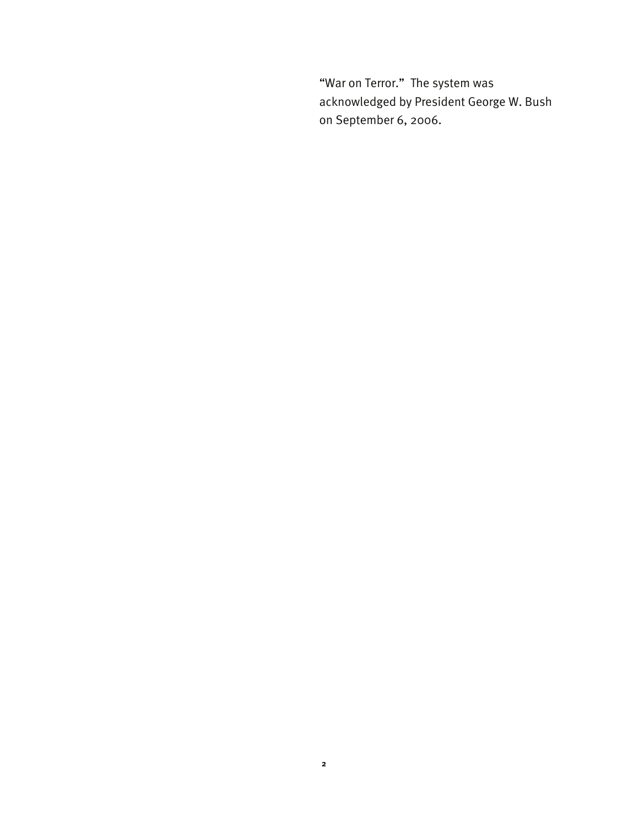"War on Terror." The system was acknowledged by President George W. Bush on September 6, 2006.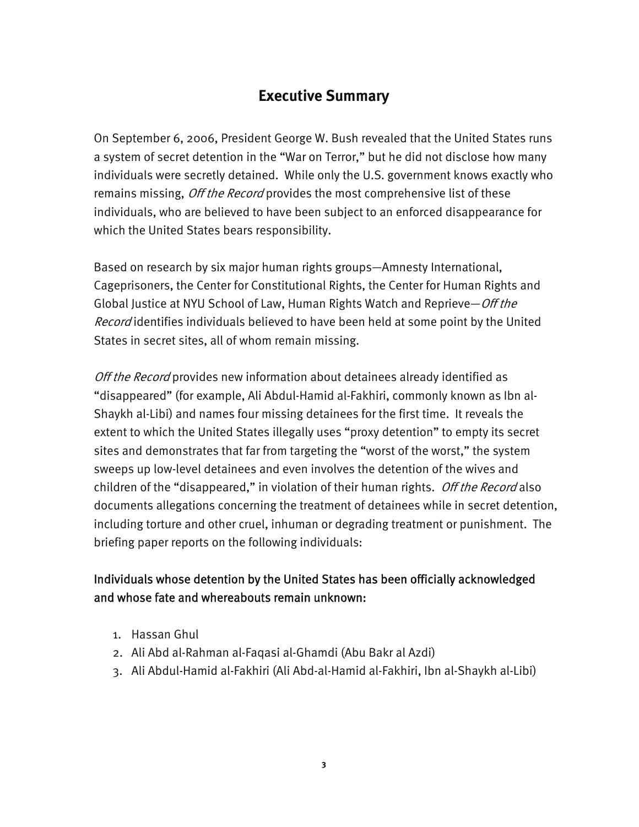## **Executive Summary**

On September 6, 2006, President George W. Bush revealed that the United States runs a system of secret detention in the "War on Terror," but he did not disclose how many individuals were secretly detained. While only the U.S. government knows exactly who remains missing, *Off the Record* provides the most comprehensive list of these individuals, who are believed to have been subject to an enforced disappearance for which the United States bears responsibility.

Based on research by six major human rights groups—Amnesty International, Cageprisoners, the Center for Constitutional Rights, the Center for Human Rights and Global Justice at NYU School of Law, Human Rights Watch and Reprieve–Off the Record identifies individuals believed to have been held at some point by the United States in secret sites, all of whom remain missing.

Off the Record provides new information about detainees already identified as "disappeared" (for example, Ali Abdul-Hamid al-Fakhiri, commonly known as Ibn al-Shaykh al-Libi) and names four missing detainees for the first time. It reveals the extent to which the United States illegally uses "proxy detention" to empty its secret sites and demonstrates that far from targeting the "worst of the worst," the system sweeps up low-level detainees and even involves the detention of the wives and children of the "disappeared," in violation of their human rights. Off the Record also documents allegations concerning the treatment of detainees while in secret detention, including torture and other cruel, inhuman or degrading treatment or punishment. The briefing paper reports on the following individuals:

## Individuals whose detention by the United States has been officially acknowledged and whose fate and whereabouts remain unknown:

- 1. Hassan Ghul
- 2. Ali Abd al-Rahman al-Faqasi al-Ghamdi (Abu Bakr al Azdi)
- 3. Ali Abdul-Hamid al-Fakhiri (Ali Abd-al-Hamid al-Fakhiri, Ibn al-Shaykh al-Libi)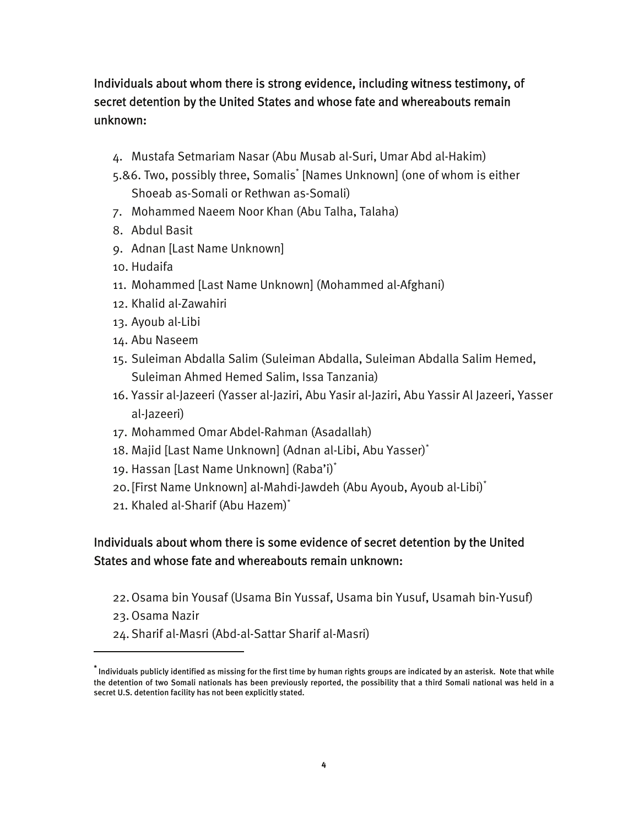Individuals about whom there is strong evidence, including witness testimony, of secret detention by the United States and whose fate and whereabouts remain unknown:

- 4. Mustafa Setmariam Nasar (Abu Musab al-Suri, Umar Abd al-Hakim)
- 5.&6. Two, possibly three, Somalis\* [Names Unknown] (one of whom is either Shoeab as-Somali or Rethwan as-Somali)
- 7. Mohammed Naeem Noor Khan (Abu Talha, Talaha)
- 8. Abdul Basit
- 9. Adnan [Last Name Unknown]
- 10. Hudaifa
- 11. Mohammed [Last Name Unknown] (Mohammed al-Afghani)
- 12. Khalid al-Zawahiri
- 13. Ayoub al-Libi
- 14. Abu Naseem
- 15. Suleiman Abdalla Salim (Suleiman Abdalla, Suleiman Abdalla Salim Hemed, Suleiman Ahmed Hemed Salim, Issa Tanzania)
- 16. Yassir al-Jazeeri (Yasser al-Jaziri, Abu Yasir al-Jaziri, Abu Yassir Al Jazeeri, Yasser al-Jazeeri)
- 17. Mohammed Omar Abdel-Rahman (Asadallah)
- 18. Majid [Last Name Unknown] (Adnan al-Libi, Abu Yasser)\*
- 19. Hassan [Last Name Unknown] (Raba'i)\*
- 20.[First Name Unknown] al-Mahdi-Jawdeh (Abu Ayoub, Ayoub al-Libi)\*
- 21. Khaled al-Sharif (Abu Hazem)\*

## Individuals about whom there is some evidence of secret detention by the United States and whose fate and whereabouts remain unknown:

- 22.Osama bin Yousaf (Usama Bin Yussaf, Usama bin Yusuf, Usamah bin-Yusuf)
- 23. Osama Nazir

-

24. Sharif al-Masri (Abd-al-Sattar Sharif al-Masri)

**<sup>\*</sup>** Individuals publicly identified as missing for the first time by human rights groups are indicated by an asterisk. Note that while the detention of two Somali nationals has been previously reported, the possibility that a third Somali national was held in a secret U.S. detention facility has not been explicitly stated.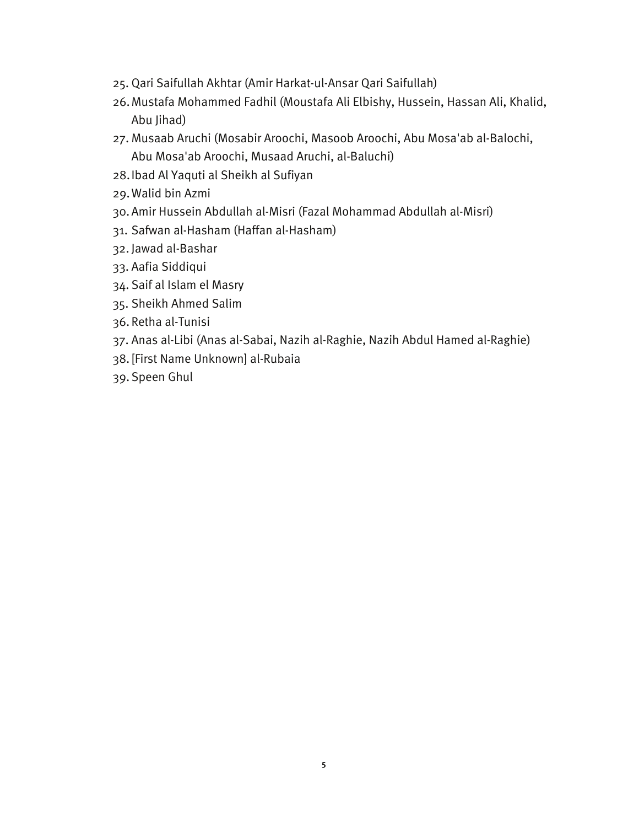- 25. Qari Saifullah Akhtar (Amir Harkat-ul-Ansar Qari Saifullah)
- 26.Mustafa Mohammed Fadhil (Moustafa Ali Elbishy, Hussein, Hassan Ali, Khalid, Abu Jihad)
- 27. Musaab Aruchi (Mosabir Aroochi, Masoob Aroochi, Abu Mosa'ab al-Balochi, Abu Mosa'ab Aroochi, Musaad Aruchi, al-Baluchi)
- 28.Ibad Al Yaquti al Sheikh al Sufiyan
- 29.Walid bin Azmi
- 30.Amir Hussein Abdullah al-Misri (Fazal Mohammad Abdullah al-Misri)
- 31. Safwan al-Hasham (Haffan al-Hasham)
- 32. Jawad al-Bashar
- 33. Aafia Siddiqui
- 34. Saif al Islam el Masry
- 35. Sheikh Ahmed Salim
- 36. Retha al-Tunisi
- 37. Anas al-Libi (Anas al-Sabai, Nazih al-Raghie, Nazih Abdul Hamed al-Raghie)
- 38. [First Name Unknown] al-Rubaia
- 39. Speen Ghul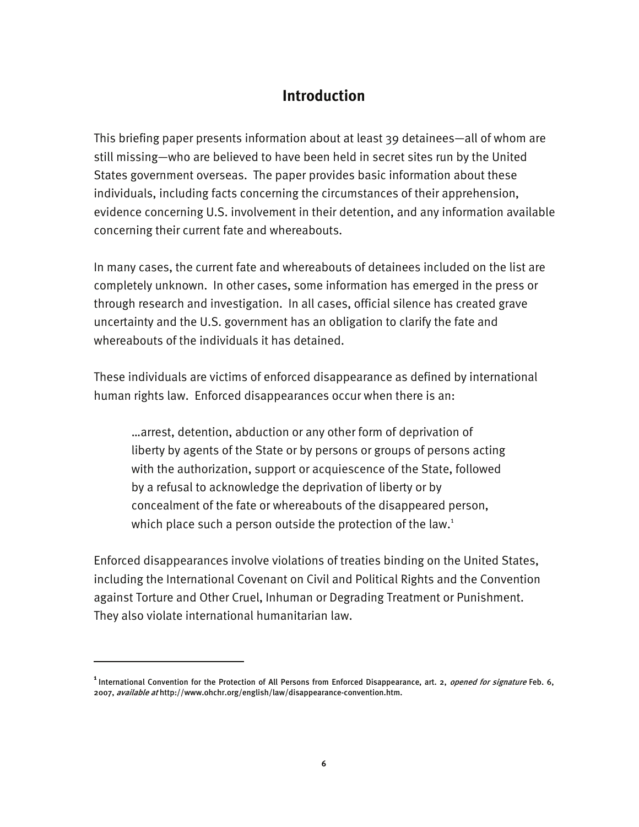## **Introduction**

This briefing paper presents information about at least 39 detainees—all of whom are still missing—who are believed to have been held in secret sites run by the United States government overseas. The paper provides basic information about these individuals, including facts concerning the circumstances of their apprehension, evidence concerning U.S. involvement in their detention, and any information available concerning their current fate and whereabouts.

In many cases, the current fate and whereabouts of detainees included on the list are completely unknown. In other cases, some information has emerged in the press or through research and investigation. In all cases, official silence has created grave uncertainty and the U.S. government has an obligation to clarify the fate and whereabouts of the individuals it has detained.

These individuals are victims of enforced disappearance as defined by international human rights law. Enforced disappearances occur when there is an:

…arrest, detention, abduction or any other form of deprivation of liberty by agents of the State or by persons or groups of persons acting with the authorization, support or acquiescence of the State, followed by a refusal to acknowledge the deprivation of liberty or by concealment of the fate or whereabouts of the disappeared person, which place such a person outside the protection of the law.<sup>1</sup>

Enforced disappearances involve violations of treaties binding on the United States, including the International Covenant on Civil and Political Rights and the Convention against Torture and Other Cruel, Inhuman or Degrading Treatment or Punishment. They also violate international humanitarian law.

I

<sup>&</sup>lt;sup>1</sup> International Convention for the Protection of All Persons from Enforced Disappearance, art. 2, *opened for signature* Feb. 6, 2007, available at http://www.ohchr.org/english/law/disappearance-convention.htm.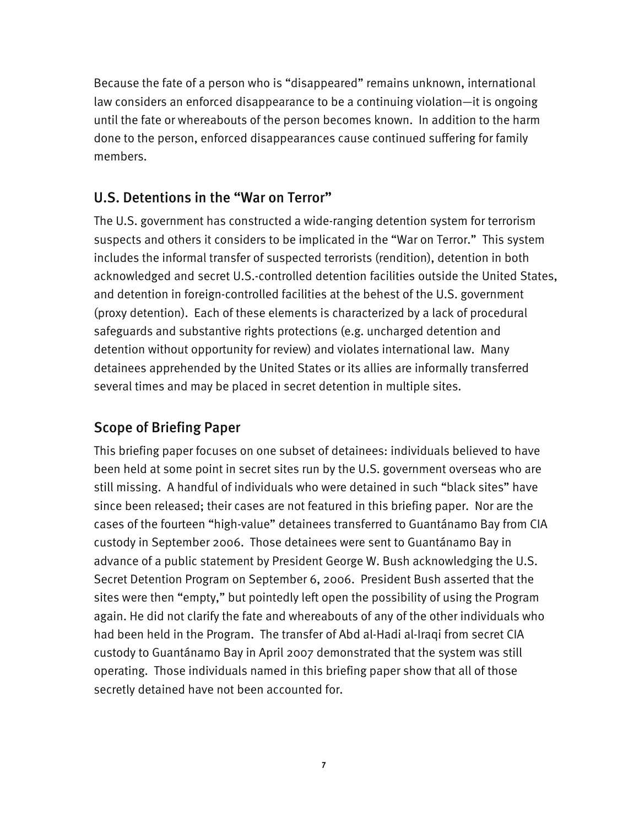Because the fate of a person who is "disappeared" remains unknown, international law considers an enforced disappearance to be a continuing violation—it is ongoing until the fate or whereabouts of the person becomes known. In addition to the harm done to the person, enforced disappearances cause continued suffering for family members.

## U.S. Detentions in the "War on Terror"

The U.S. government has constructed a wide-ranging detention system for terrorism suspects and others it considers to be implicated in the "War on Terror." This system includes the informal transfer of suspected terrorists (rendition), detention in both acknowledged and secret U.S.-controlled detention facilities outside the United States, and detention in foreign-controlled facilities at the behest of the U.S. government (proxy detention). Each of these elements is characterized by a lack of procedural safeguards and substantive rights protections (e.g. uncharged detention and detention without opportunity for review) and violates international law. Many detainees apprehended by the United States or its allies are informally transferred several times and may be placed in secret detention in multiple sites.

## Scope of Briefing Paper

This briefing paper focuses on one subset of detainees: individuals believed to have been held at some point in secret sites run by the U.S. government overseas who are still missing. A handful of individuals who were detained in such "black sites" have since been released; their cases are not featured in this briefing paper. Nor are the cases of the fourteen "high-value" detainees transferred to Guantánamo Bay from CIA custody in September 2006. Those detainees were sent to Guantánamo Bay in advance of a public statement by President George W. Bush acknowledging the U.S. Secret Detention Program on September 6, 2006. President Bush asserted that the sites were then "empty," but pointedly left open the possibility of using the Program again. He did not clarify the fate and whereabouts of any of the other individuals who had been held in the Program. The transfer of Abd al-Hadi al-Iraqi from secret CIA custody to Guantánamo Bay in April 2007 demonstrated that the system was still operating. Those individuals named in this briefing paper show that all of those secretly detained have not been accounted for.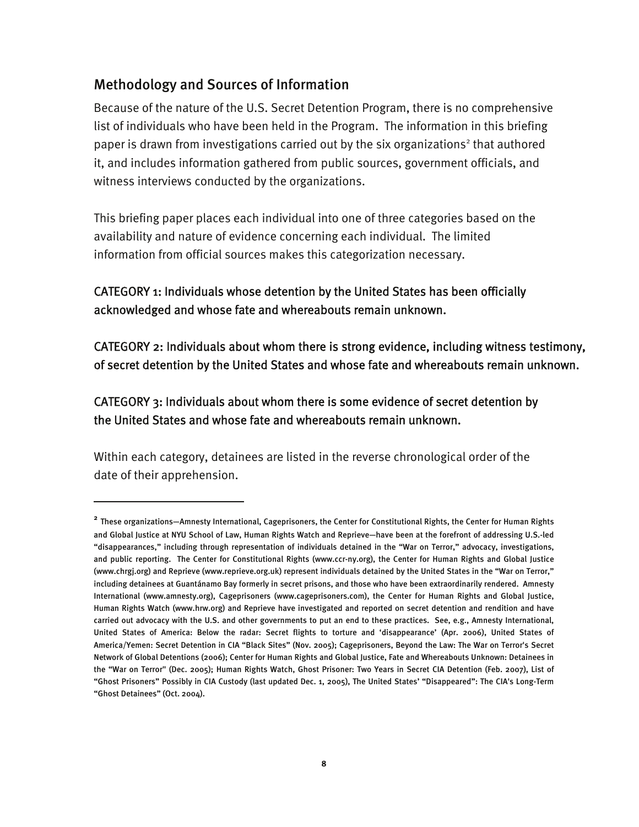## Methodology and Sources of Information

I

Because of the nature of the U.S. Secret Detention Program, there is no comprehensive list of individuals who have been held in the Program. The information in this briefing paper is drawn from investigations carried out by the six organizations<sup>2</sup> that authored it, and includes information gathered from public sources, government officials, and witness interviews conducted by the organizations.

This briefing paper places each individual into one of three categories based on the availability and nature of evidence concerning each individual. The limited information from official sources makes this categorization necessary.

## CATEGORY 1: Individuals whose detention by the United States has been officially acknowledged and whose fate and whereabouts remain unknown.

CATEGORY 2: Individuals about whom there is strong evidence, including witness testimony, of secret detention by the United States and whose fate and whereabouts remain unknown.

## CATEGORY 3: Individuals about whom there is some evidence of secret detention by the United States and whose fate and whereabouts remain unknown.

Within each category, detainees are listed in the reverse chronological order of the date of their apprehension.

**<sup>2</sup>** These organizations—Amnesty International, Cageprisoners, the Center for Constitutional Rights, the Center for Human Rights and Global Justice at NYU School of Law, Human Rights Watch and Reprieve—have been at the forefront of addressing U.S.-led "disappearances," including through representation of individuals detained in the "War on Terror," advocacy, investigations, and public reporting. The Center for Constitutional Rights (www.ccr-ny.org), the Center for Human Rights and Global Justice (www.chrgj.org) and Reprieve (www.reprieve.org.uk) represent individuals detained by the United States in the "War on Terror," including detainees at Guantánamo Bay formerly in secret prisons, and those who have been extraordinarily rendered. Amnesty International (www.amnesty.org), Cageprisoners (www.cageprisoners.com), the Center for Human Rights and Global Justice, Human Rights Watch (www.hrw.org) and Reprieve have investigated and reported on secret detention and rendition and have carried out advocacy with the U.S. and other governments to put an end to these practices. See, e.g., Amnesty International, United States of America: Below the radar: Secret flights to torture and 'disappearance' (Apr. 2006), United States of America/Yemen: Secret Detention in CIA "Black Sites" (Nov. 2005); Cageprisoners, Beyond the Law: The War on Terror's Secret Network of Global Detentions (2006); Center for Human Rights and Global Justice, Fate and Whereabouts Unknown: Detainees in the "War on Terror" (Dec. 2005); Human Rights Watch, Ghost Prisoner: Two Years in Secret CIA Detention (Feb. 2007), List of "Ghost Prisoners" Possibly in CIA Custody (last updated Dec. 1, 2005), The United States' "Disappeared": The CIA's Long-Term "Ghost Detainees" (Oct. 2004).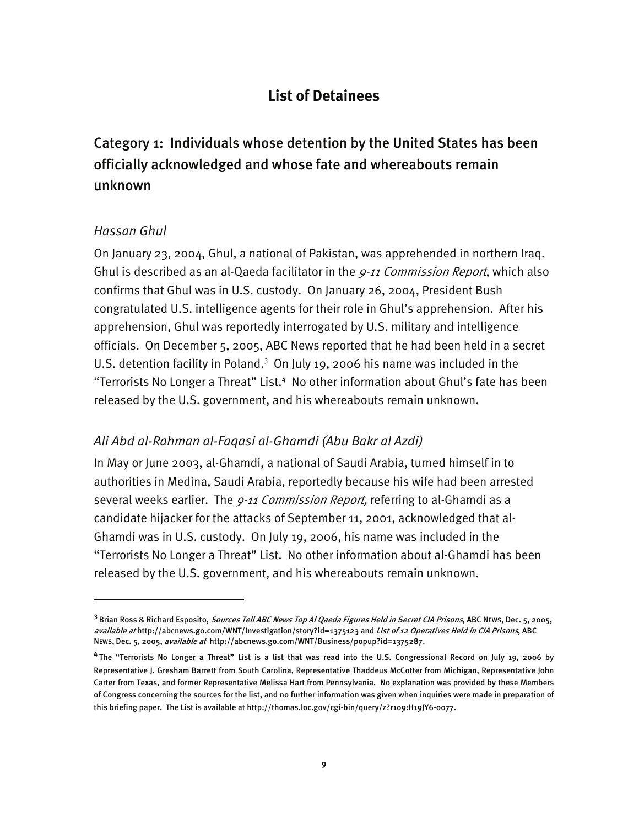## **List of Detainees**

Category 1: Individuals whose detention by the United States has been officially acknowledged and whose fate and whereabouts remain unknown

#### *Hassan Ghul*

I

On January 23, 2004, Ghul, a national of Pakistan, was apprehended in northern Iraq. Ghul is described as an al-Qaeda facilitator in the 9-11 Commission Report, which also confirms that Ghul was in U.S. custody. On January 26, 2004, President Bush congratulated U.S. intelligence agents for their role in Ghul's apprehension. After his apprehension, Ghul was reportedly interrogated by U.S. military and intelligence officials. On December 5, 2005, ABC News reported that he had been held in a secret U.S. detention facility in Poland.<sup>3</sup> On July 19, 2006 his name was included in the "Terrorists No Longer a Threat" List.<sup>4</sup> No other information about Ghul's fate has been released by the U.S. government, and his whereabouts remain unknown.

#### *Ali Abd al-Rahman al-Faqasi al-Ghamdi (Abu Bakr al Azdi)*

In May or June 2003, al-Ghamdi, a national of Saudi Arabia, turned himself in to authorities in Medina, Saudi Arabia, reportedly because his wife had been arrested several weeks earlier. The 9-11 Commission Report, referring to al-Ghamdi as a candidate hijacker for the attacks of September 11, 2001, acknowledged that al-Ghamdi was in U.S. custody. On July 19, 2006, his name was included in the "Terrorists No Longer a Threat" List. No other information about al-Ghamdi has been released by the U.S. government, and his whereabouts remain unknown.

**<sup>3</sup>**Brian Ross & Richard Esposito, Sources Tell ABC News Top Al Qaeda Figures Held in Secret CIA Prisons, ABC NEWS, Dec. 5, 2005, available at http://abcnews.go.com/WNT/Investigation/story?id=1375123 and List of 12 Operatives Held in CIA Prisons, ABC NEWS, Dec. 5, 2005, available at http://abcnews.go.com/WNT/Business/popup?id=1375287.

**<sup>4</sup>**The "Terrorists No Longer a Threat" List is a list that was read into the U.S. Congressional Record on July 19, 2006 by Representative J. Gresham Barrett from South Carolina, Representative Thaddeus McCotter from Michigan, Representative John Carter from Texas, and former Representative Melissa Hart from Pennsylvania. No explanation was provided by these Members of Congress concerning the sources for the list, and no further information was given when inquiries were made in preparation of this briefing paper. The List is available at http://thomas.loc.gov/cgi-bin/query/z?r109:H19JY6-0077.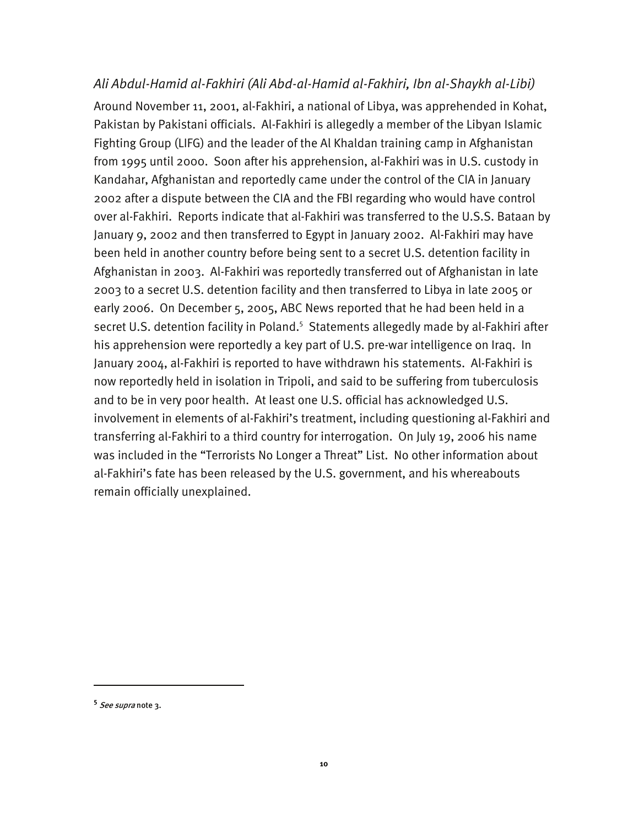#### *Ali Abdul-Hamid al-Fakhiri (Ali Abd-al-Hamid al-Fakhiri, Ibn al-Shaykh al-Libi)*

Around November 11, 2001, al-Fakhiri, a national of Libya, was apprehended in Kohat, Pakistan by Pakistani officials. Al-Fakhiri is allegedly a member of the Libyan Islamic Fighting Group (LIFG) and the leader of the Al Khaldan training camp in Afghanistan from 1995 until 2000. Soon after his apprehension, al-Fakhiri was in U.S. custody in Kandahar, Afghanistan and reportedly came under the control of the CIA in January 2002 after a dispute between the CIA and the FBI regarding who would have control over al-Fakhiri. Reports indicate that al-Fakhiri was transferred to the U.S.S. Bataan by January 9, 2002 and then transferred to Egypt in January 2002. Al-Fakhiri may have been held in another country before being sent to a secret U.S. detention facility in Afghanistan in 2003. Al-Fakhiri was reportedly transferred out of Afghanistan in late 2003 to a secret U.S. detention facility and then transferred to Libya in late 2005 or early 2006. On December 5, 2005, ABC News reported that he had been held in a secret U.S. detention facility in Poland.<sup>5</sup> Statements allegedly made by al-Fakhiri after his apprehension were reportedly a key part of U.S. pre-war intelligence on Iraq. In January 2004, al-Fakhiri is reported to have withdrawn his statements. Al-Fakhiri is now reportedly held in isolation in Tripoli, and said to be suffering from tuberculosis and to be in very poor health. At least one U.S. official has acknowledged U.S. involvement in elements of al-Fakhiri's treatment, including questioning al-Fakhiri and transferring al-Fakhiri to a third country for interrogation. On July 19, 2006 his name was included in the "Terrorists No Longer a Threat" List. No other information about al-Fakhiri's fate has been released by the U.S. government, and his whereabouts remain officially unexplained.

-

**<sup>5</sup>** See supra note 3.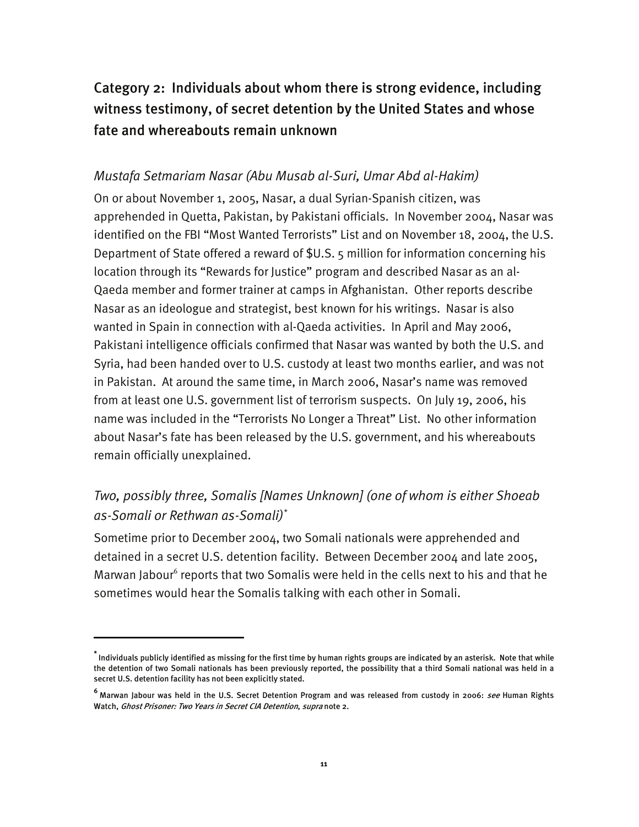# Category 2: Individuals about whom there is strong evidence, including witness testimony, of secret detention by the United States and whose fate and whereabouts remain unknown

#### *Mustafa Setmariam Nasar (Abu Musab al-Suri, Umar Abd al-Hakim)*

On or about November 1, 2005, Nasar, a dual Syrian-Spanish citizen, was apprehended in Quetta, Pakistan, by Pakistani officials. In November 2004, Nasar was identified on the FBI "Most Wanted Terrorists" List and on November 18, 2004, the U.S. Department of State offered a reward of \$U.S. 5 million for information concerning his location through its "Rewards for Justice" program and described Nasar as an al-Qaeda member and former trainer at camps in Afghanistan. Other reports describe Nasar as an ideologue and strategist, best known for his writings. Nasar is also wanted in Spain in connection with al-Qaeda activities. In April and May 2006, Pakistani intelligence officials confirmed that Nasar was wanted by both the U.S. and Syria, had been handed over to U.S. custody at least two months earlier, and was not in Pakistan. At around the same time, in March 2006, Nasar's name was removed from at least one U.S. government list of terrorism suspects. On July 19, 2006, his name was included in the "Terrorists No Longer a Threat" List. No other information about Nasar's fate has been released by the U.S. government, and his whereabouts remain officially unexplained.

## *Two, possibly three, Somalis [Names Unknown] (one of whom is either Shoeab as-Somali or Rethwan as-Somali)\**

Sometime prior to December 2004, two Somali nationals were apprehended and detained in a secret U.S. detention facility. Between December 2004 and late 2005, Marwan Jabour<sup>6</sup> reports that two Somalis were held in the cells next to his and that he sometimes would hear the Somalis talking with each other in Somali.

I

**<sup>\*</sup>** Individuals publicly identified as missing for the first time by human rights groups are indicated by an asterisk. Note that while the detention of two Somali nationals has been previously reported, the possibility that a third Somali national was held in a secret U.S. detention facility has not been explicitly stated.

**<sup>6</sup>** Marwan Jabour was held in the U.S. Secret Detention Program and was released from custody in 2006: see Human Rights Watch, Ghost Prisoner: Two Years in Secret CIA Detention, supra note 2.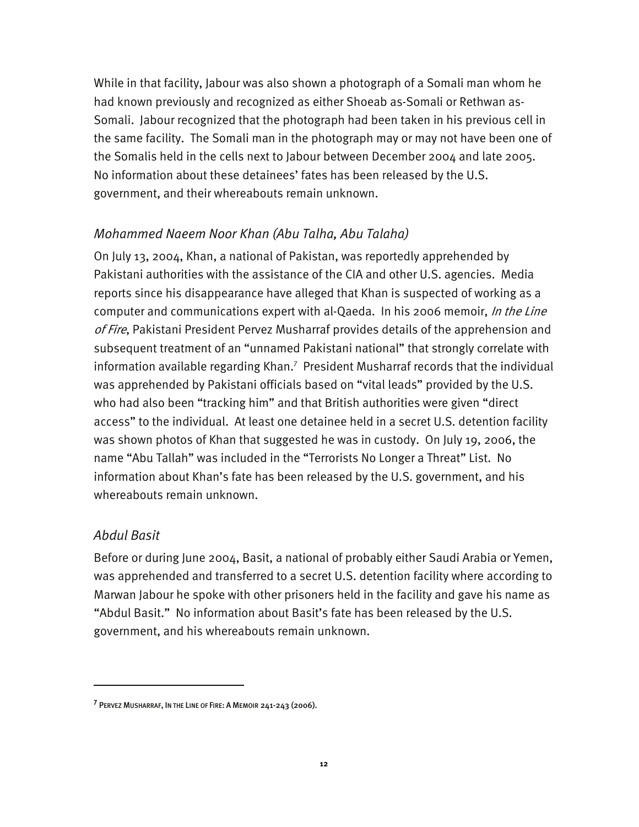While in that facility, Jabour was also shown a photograph of a Somali man whom he had known previously and recognized as either Shoeab as-Somali or Rethwan as-Somali. Jabour recognized that the photograph had been taken in his previous cell in the same facility. The Somali man in the photograph may or may not have been one of the Somalis held in the cells next to Jabour between December 2004 and late 2005. No information about these detainees' fates has been released by the U.S. government, and their whereabouts remain unknown.

#### *Mohammed Naeem Noor Khan (Abu Talha, Abu Talaha)*

On July 13, 2004, Khan, a national of Pakistan, was reportedly apprehended by Pakistani authorities with the assistance of the CIA and other U.S. agencies. Media reports since his disappearance have alleged that Khan is suspected of working as a computer and communications expert with al-Qaeda. In his 2006 memoir, In the Line of Fire, Pakistani President Pervez Musharraf provides details of the apprehension and subsequent treatment of an "unnamed Pakistani national" that strongly correlate with information available regarding Khan.<sup>7</sup> President Musharraf records that the individual was apprehended by Pakistani officials based on "vital leads" provided by the U.S. who had also been "tracking him" and that British authorities were given "direct access" to the individual. At least one detainee held in a secret U.S. detention facility was shown photos of Khan that suggested he was in custody. On July 19, 2006, the name "Abu Tallah" was included in the "Terrorists No Longer a Threat" List. No information about Khan's fate has been released by the U.S. government, and his whereabouts remain unknown.

#### *Abdul Basit*

I

Before or during June 2004, Basit, a national of probably either Saudi Arabia or Yemen, was apprehended and transferred to a secret U.S. detention facility where according to Marwan Jabour he spoke with other prisoners held in the facility and gave his name as "Abdul Basit." No information about Basit's fate has been released by the U.S. government, and his whereabouts remain unknown.

**<sup>7</sup>** PERVEZ MUSHARRAF, IN THE LINE OF FIRE: A MEMOIR 241-243 (2006).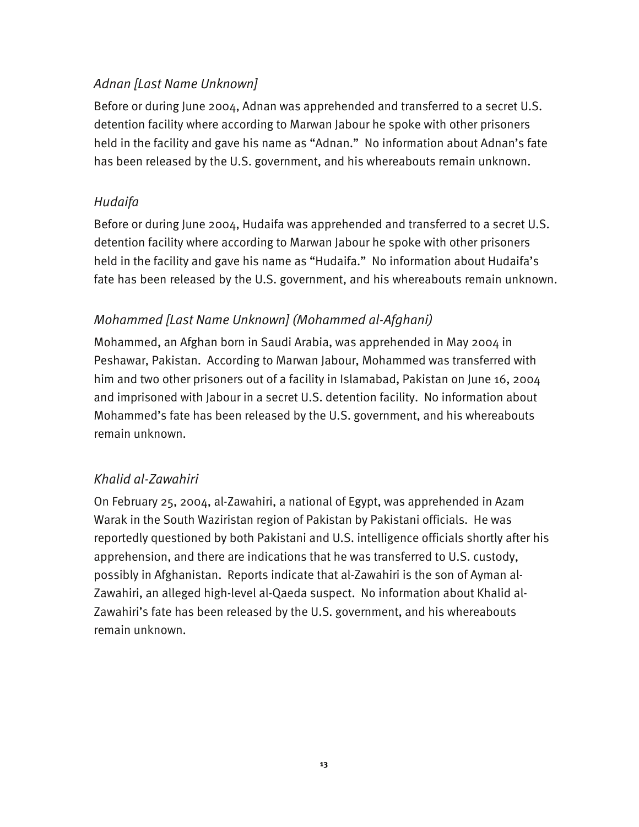## *Adnan [Last Name Unknown]*

Before or during June 2004, Adnan was apprehended and transferred to a secret U.S. detention facility where according to Marwan Jabour he spoke with other prisoners held in the facility and gave his name as "Adnan." No information about Adnan's fate has been released by the U.S. government, and his whereabouts remain unknown.

## *Hudaifa*

Before or during June 2004, Hudaifa was apprehended and transferred to a secret U.S. detention facility where according to Marwan Jabour he spoke with other prisoners held in the facility and gave his name as "Hudaifa." No information about Hudaifa's fate has been released by the U.S. government, and his whereabouts remain unknown.

## *Mohammed [Last Name Unknown] (Mohammed al-Afghani)*

Mohammed, an Afghan born in Saudi Arabia, was apprehended in May 2004 in Peshawar, Pakistan. According to Marwan Jabour, Mohammed was transferred with him and two other prisoners out of a facility in Islamabad, Pakistan on June 16, 2004 and imprisoned with Jabour in a secret U.S. detention facility. No information about Mohammed's fate has been released by the U.S. government, and his whereabouts remain unknown.

### *Khalid al-Zawahiri*

On February 25, 2004, al-Zawahiri, a national of Egypt, was apprehended in Azam Warak in the South Waziristan region of Pakistan by Pakistani officials. He was reportedly questioned by both Pakistani and U.S. intelligence officials shortly after his apprehension, and there are indications that he was transferred to U.S. custody, possibly in Afghanistan. Reports indicate that al-Zawahiri is the son of Ayman al-Zawahiri, an alleged high-level al-Qaeda suspect. No information about Khalid al-Zawahiri's fate has been released by the U.S. government, and his whereabouts remain unknown.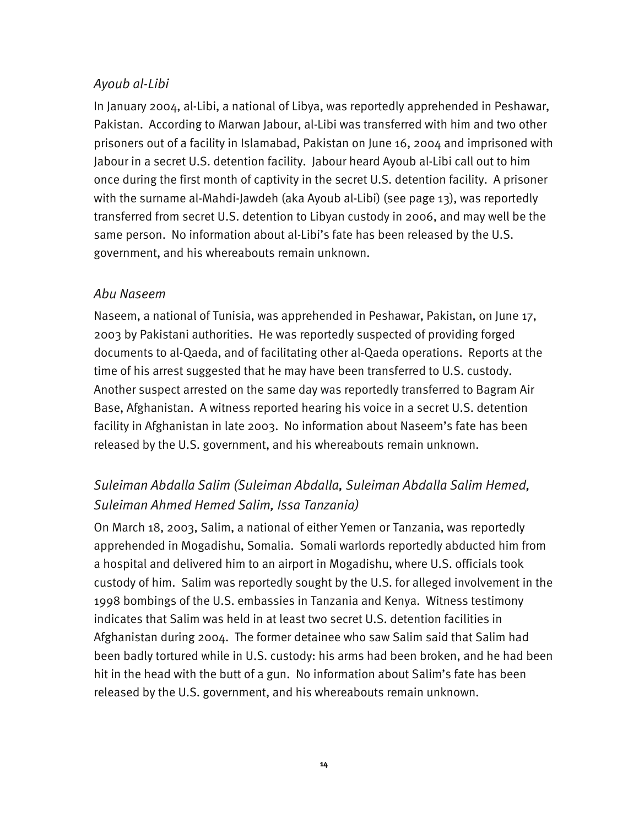#### *Ayoub al-Libi*

In January 2004, al-Libi, a national of Libya, was reportedly apprehended in Peshawar, Pakistan. According to Marwan Jabour, al-Libi was transferred with him and two other prisoners out of a facility in Islamabad, Pakistan on June 16, 2004 and imprisoned with Jabour in a secret U.S. detention facility. Jabour heard Ayoub al-Libi call out to him once during the first month of captivity in the secret U.S. detention facility. A prisoner with the surname al-Mahdi-Jawdeh (aka Ayoub al-Libi) (see page 13), was reportedly transferred from secret U.S. detention to Libyan custody in 2006, and may well be the same person. No information about al-Libi's fate has been released by the U.S. government, and his whereabouts remain unknown.

#### *Abu Naseem*

Naseem, a national of Tunisia, was apprehended in Peshawar, Pakistan, on June 17, 2003 by Pakistani authorities. He was reportedly suspected of providing forged documents to al-Qaeda, and of facilitating other al-Qaeda operations. Reports at the time of his arrest suggested that he may have been transferred to U.S. custody. Another suspect arrested on the same day was reportedly transferred to Bagram Air Base, Afghanistan. A witness reported hearing his voice in a secret U.S. detention facility in Afghanistan in late 2003. No information about Naseem's fate has been released by the U.S. government, and his whereabouts remain unknown.

# *Suleiman Abdalla Salim (Suleiman Abdalla, Suleiman Abdalla Salim Hemed, Suleiman Ahmed Hemed Salim, Issa Tanzania)*

On March 18, 2003, Salim, a national of either Yemen or Tanzania, was reportedly apprehended in Mogadishu, Somalia. Somali warlords reportedly abducted him from a hospital and delivered him to an airport in Mogadishu, where U.S. officials took custody of him. Salim was reportedly sought by the U.S. for alleged involvement in the 1998 bombings of the U.S. embassies in Tanzania and Kenya. Witness testimony indicates that Salim was held in at least two secret U.S. detention facilities in Afghanistan during 2004. The former detainee who saw Salim said that Salim had been badly tortured while in U.S. custody: his arms had been broken, and he had been hit in the head with the butt of a gun. No information about Salim's fate has been released by the U.S. government, and his whereabouts remain unknown.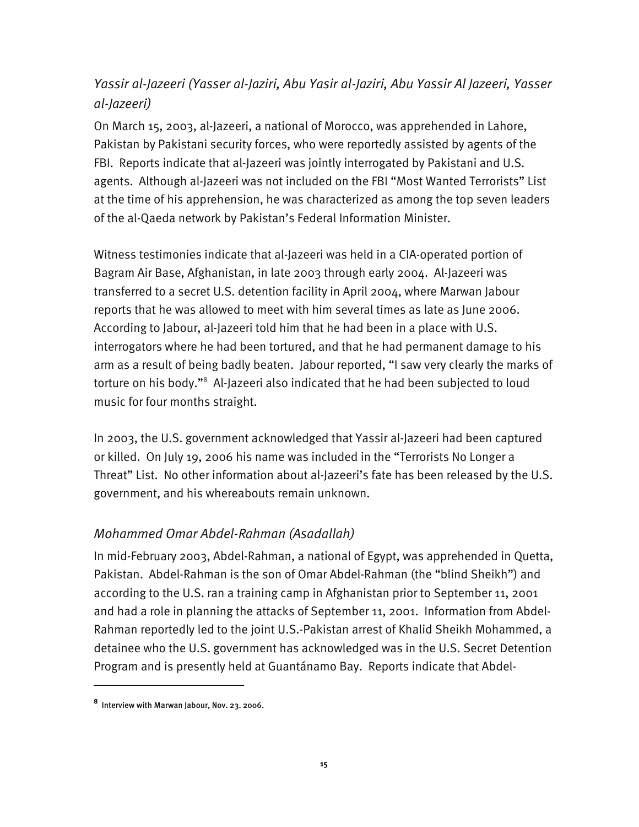## *Yassir al-Jazeeri (Yasser al-Jaziri, Abu Yasir al-Jaziri, Abu Yassir Al Jazeeri, Yasser al-Jazeeri)*

On March 15, 2003, al-Jazeeri, a national of Morocco, was apprehended in Lahore, Pakistan by Pakistani security forces, who were reportedly assisted by agents of the FBI. Reports indicate that al-Jazeeri was jointly interrogated by Pakistani and U.S. agents. Although al-Jazeeri was not included on the FBI "Most Wanted Terrorists" List at the time of his apprehension, he was characterized as among the top seven leaders of the al-Qaeda network by Pakistan's Federal Information Minister.

Witness testimonies indicate that al-Jazeeri was held in a CIA-operated portion of Bagram Air Base, Afghanistan, in late 2003 through early 2004. Al-Jazeeri was transferred to a secret U.S. detention facility in April 2004, where Marwan Jabour reports that he was allowed to meet with him several times as late as June 2006. According to Jabour, al-Jazeeri told him that he had been in a place with U.S. interrogators where he had been tortured, and that he had permanent damage to his arm as a result of being badly beaten. Jabour reported, "I saw very clearly the marks of torture on his body."8 Al-Jazeeri also indicated that he had been subjected to loud music for four months straight.

In 2003, the U.S. government acknowledged that Yassir al-Jazeeri had been captured or killed. On July 19, 2006 his name was included in the "Terrorists No Longer a Threat" List. No other information about al-Jazeeri's fate has been released by the U.S. government, and his whereabouts remain unknown.

#### *Mohammed Omar Abdel-Rahman (Asadallah)*

In mid-February 2003, Abdel-Rahman, a national of Egypt, was apprehended in Quetta, Pakistan. Abdel-Rahman is the son of Omar Abdel-Rahman (the "blind Sheikh") and according to the U.S. ran a training camp in Afghanistan prior to September 11, 2001 and had a role in planning the attacks of September 11, 2001. Information from Abdel-Rahman reportedly led to the joint U.S.-Pakistan arrest of Khalid Sheikh Mohammed, a detainee who the U.S. government has acknowledged was in the U.S. Secret Detention Program and is presently held at Guantánamo Bay. Reports indicate that Abdel-

I

**<sup>8</sup>** Interview with Marwan Jabour, Nov. 23. 2006.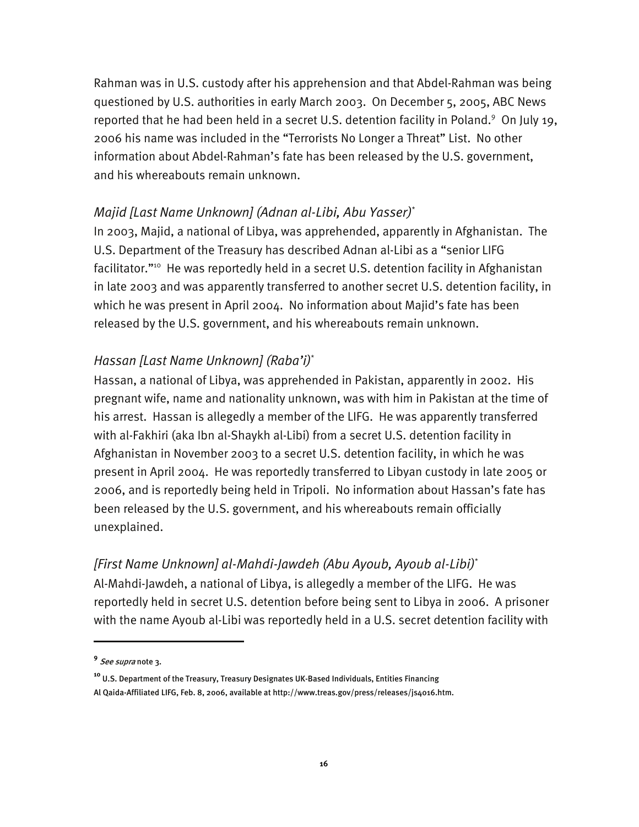Rahman was in U.S. custody after his apprehension and that Abdel-Rahman was being questioned by U.S. authorities in early March 2003. On December 5, 2005, ABC News reported that he had been held in a secret U.S. detention facility in Poland.<sup>9</sup> On July 19, 2006 his name was included in the "Terrorists No Longer a Threat" List. No other information about Abdel-Rahman's fate has been released by the U.S. government, and his whereabouts remain unknown.

#### *Majid [Last Name Unknown] (Adnan al-Libi, Abu Yasser)*\*

In 2003, Majid, a national of Libya, was apprehended, apparently in Afghanistan. The U.S. Department of the Treasury has described Adnan al-Libi as a "senior LIFG facilitator."<sup>10</sup> He was reportedly held in a secret U.S. detention facility in Afghanistan in late 2003 and was apparently transferred to another secret U.S. detention facility, in which he was present in April 2004. No information about Majid's fate has been released by the U.S. government, and his whereabouts remain unknown.

#### *Hassan [Last Name Unknown] (Raba'i)*\*

Hassan, a national of Libya, was apprehended in Pakistan, apparently in 2002. His pregnant wife, name and nationality unknown, was with him in Pakistan at the time of his arrest. Hassan is allegedly a member of the LIFG. He was apparently transferred with al-Fakhiri (aka Ibn al-Shaykh al-Libi) from a secret U.S. detention facility in Afghanistan in November 2003 to a secret U.S. detention facility, in which he was present in April 2004. He was reportedly transferred to Libyan custody in late 2005 or 2006, and is reportedly being held in Tripoli. No information about Hassan's fate has been released by the U.S. government, and his whereabouts remain officially unexplained.

#### *[First Name Unknown] al-Mahdi-Jawdeh (Abu Ayoub, Ayoub al-Libi)*\*

Al-Mahdi-Jawdeh, a national of Libya, is allegedly a member of the LIFG. He was reportedly held in secret U.S. detention before being sent to Libya in 2006. A prisoner with the name Ayoub al-Libi was reportedly held in a U.S. secret detention facility with

I

**<sup>9</sup>** See supra note 3.

**<sup>10</sup>** U.S. Department of the Treasury, Treasury Designates UK-Based Individuals, Entities Financing Al Qaida-Affiliated LIFG, Feb. 8, 2006, available at http://www.treas.gov/press/releases/js4016.htm.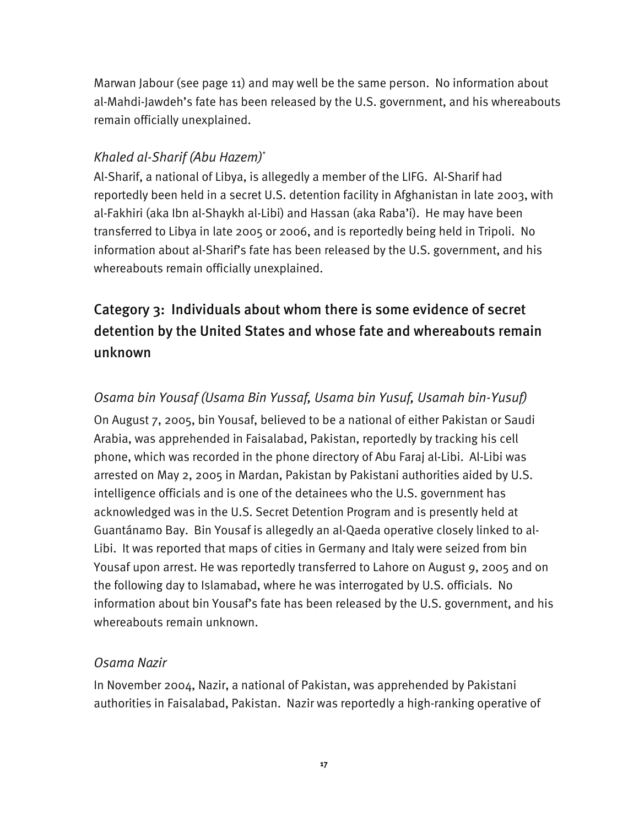Marwan Jabour (see page 11) and may well be the same person. No information about al-Mahdi-Jawdeh's fate has been released by the U.S. government, and his whereabouts remain officially unexplained.

## *Khaled al-Sharif (Abu Hazem)*\*

Al-Sharif, a national of Libya, is allegedly a member of the LIFG. Al-Sharif had reportedly been held in a secret U.S. detention facility in Afghanistan in late 2003, with al-Fakhiri (aka Ibn al-Shaykh al-Libi) and Hassan (aka Raba'i). He may have been transferred to Libya in late 2005 or 2006, and is reportedly being held in Tripoli. No information about al-Sharif's fate has been released by the U.S. government, and his whereabouts remain officially unexplained.

# Category 3: Individuals about whom there is some evidence of secret detention by the United States and whose fate and whereabouts remain unknown

## *Osama bin Yousaf (Usama Bin Yussaf, Usama bin Yusuf, Usamah bin-Yusuf)*

On August 7, 2005, bin Yousaf, believed to be a national of either Pakistan or Saudi Arabia, was apprehended in Faisalabad, Pakistan, reportedly by tracking his cell phone, which was recorded in the phone directory of Abu Faraj al-Libi. Al-Libi was arrested on May 2, 2005 in Mardan, Pakistan by Pakistani authorities aided by U.S. intelligence officials and is one of the detainees who the U.S. government has acknowledged was in the U.S. Secret Detention Program and is presently held at Guantánamo Bay. Bin Yousaf is allegedly an al-Qaeda operative closely linked to al-Libi. It was reported that maps of cities in Germany and Italy were seized from bin Yousaf upon arrest. He was reportedly transferred to Lahore on August 9, 2005 and on the following day to Islamabad, where he was interrogated by U.S. officials. No information about bin Yousaf's fate has been released by the U.S. government, and his whereabouts remain unknown.

#### *Osama Nazir*

In November 2004, Nazir, a national of Pakistan, was apprehended by Pakistani authorities in Faisalabad, Pakistan. Nazir was reportedly a high-ranking operative of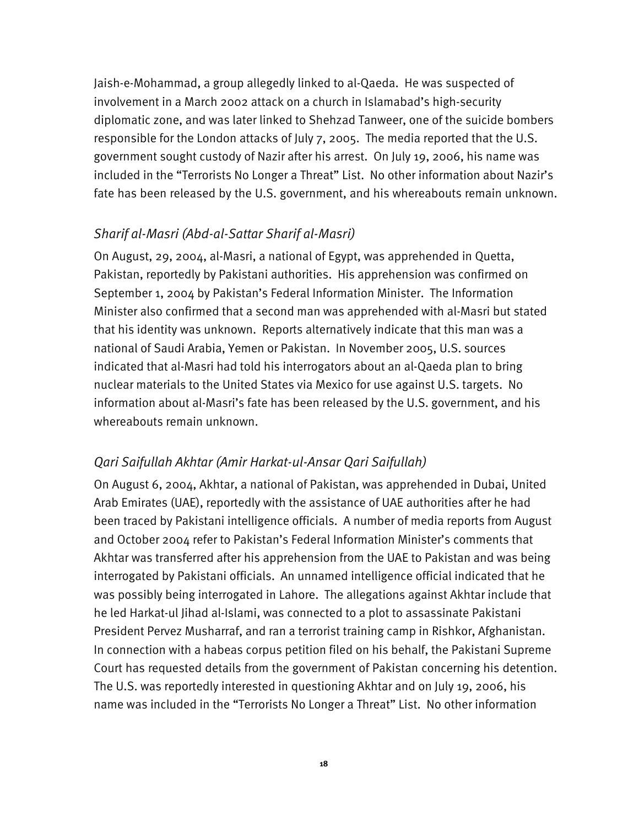Jaish-e-Mohammad, a group allegedly linked to al-Qaeda. He was suspected of involvement in a March 2002 attack on a church in Islamabad's high-security diplomatic zone, and was later linked to Shehzad Tanweer, one of the suicide bombers responsible for the London attacks of July 7, 2005. The media reported that the U.S. government sought custody of Nazir after his arrest. On July 19, 2006, his name was included in the "Terrorists No Longer a Threat" List. No other information about Nazir's fate has been released by the U.S. government, and his whereabouts remain unknown.

#### *Sharif al-Masri (Abd-al-Sattar Sharif al-Masri)*

On August, 29, 2004, al-Masri, a national of Egypt, was apprehended in Quetta, Pakistan, reportedly by Pakistani authorities. His apprehension was confirmed on September 1, 2004 by Pakistan's Federal Information Minister. The Information Minister also confirmed that a second man was apprehended with al-Masri but stated that his identity was unknown. Reports alternatively indicate that this man was a national of Saudi Arabia, Yemen or Pakistan. In November 2005, U.S. sources indicated that al-Masri had told his interrogators about an al-Qaeda plan to bring nuclear materials to the United States via Mexico for use against U.S. targets. No information about al-Masri's fate has been released by the U.S. government, and his whereabouts remain unknown.

#### *Qari Saifullah Akhtar (Amir Harkat-ul-Ansar Qari Saifullah)*

On August 6, 2004, Akhtar, a national of Pakistan, was apprehended in Dubai, United Arab Emirates (UAE), reportedly with the assistance of UAE authorities after he had been traced by Pakistani intelligence officials. A number of media reports from August and October 2004 refer to Pakistan's Federal Information Minister's comments that Akhtar was transferred after his apprehension from the UAE to Pakistan and was being interrogated by Pakistani officials. An unnamed intelligence official indicated that he was possibly being interrogated in Lahore. The allegations against Akhtar include that he led Harkat-ul Jihad al-Islami, was connected to a plot to assassinate Pakistani President Pervez Musharraf, and ran a terrorist training camp in Rishkor, Afghanistan. In connection with a habeas corpus petition filed on his behalf, the Pakistani Supreme Court has requested details from the government of Pakistan concerning his detention. The U.S. was reportedly interested in questioning Akhtar and on July 19, 2006, his name was included in the "Terrorists No Longer a Threat" List. No other information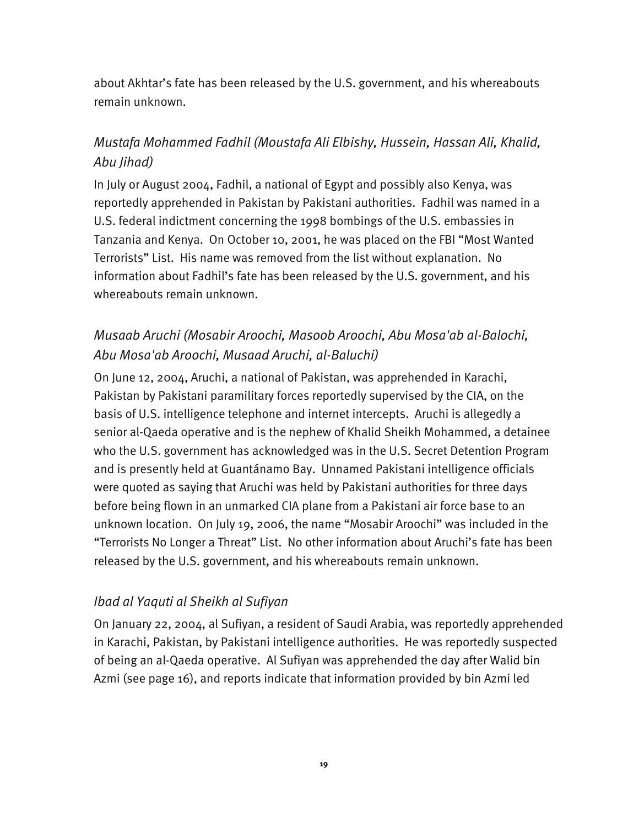about Akhtar's fate has been released by the U.S. government, and his whereabouts remain unknown.

# *Mustafa Mohammed Fadhil (Moustafa Ali Elbishy, Hussein, Hassan Ali, Khalid, Abu Jihad)*

In July or August 2004, Fadhil, a national of Egypt and possibly also Kenya, was reportedly apprehended in Pakistan by Pakistani authorities. Fadhil was named in a U.S. federal indictment concerning the 1998 bombings of the U.S. embassies in Tanzania and Kenya. On October 10, 2001, he was placed on the FBI "Most Wanted Terrorists" List. His name was removed from the list without explanation. No information about Fadhil's fate has been released by the U.S. government, and his whereabouts remain unknown.

## *Musaab Aruchi (Mosabir Aroochi, Masoob Aroochi, Abu Mosa'ab al-Balochi, Abu Mosa'ab Aroochi, Musaad Aruchi, al-Baluchi)*

On June 12, 2004, Aruchi, a national of Pakistan, was apprehended in Karachi, Pakistan by Pakistani paramilitary forces reportedly supervised by the CIA, on the basis of U.S. intelligence telephone and internet intercepts. Aruchi is allegedly a senior al-Qaeda operative and is the nephew of Khalid Sheikh Mohammed, a detainee who the U.S. government has acknowledged was in the U.S. Secret Detention Program and is presently held at Guantánamo Bay. Unnamed Pakistani intelligence officials were quoted as saying that Aruchi was held by Pakistani authorities for three days before being flown in an unmarked CIA plane from a Pakistani air force base to an unknown location. On July 19, 2006, the name "Mosabir Aroochi" was included in the "Terrorists No Longer a Threat" List. No other information about Aruchi's fate has been released by the U.S. government, and his whereabouts remain unknown.

### *Ibad al Yaquti al Sheikh al Sufiyan*

On January 22, 2004, al Sufiyan, a resident of Saudi Arabia, was reportedly apprehended in Karachi, Pakistan, by Pakistani intelligence authorities. He was reportedly suspected of being an al-Qaeda operative. Al Sufiyan was apprehended the day after Walid bin Azmi (see page 16), and reports indicate that information provided by bin Azmi led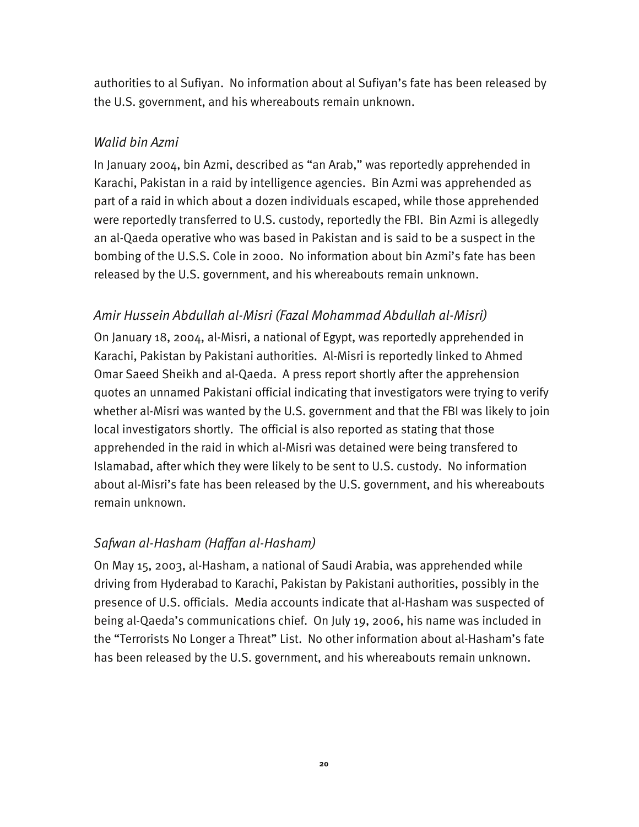authorities to al Sufiyan. No information about al Sufiyan's fate has been released by the U.S. government, and his whereabouts remain unknown.

### *Walid bin Azmi*

In January 2004, bin Azmi, described as "an Arab," was reportedly apprehended in Karachi, Pakistan in a raid by intelligence agencies. Bin Azmi was apprehended as part of a raid in which about a dozen individuals escaped, while those apprehended were reportedly transferred to U.S. custody, reportedly the FBI. Bin Azmi is allegedly an al-Qaeda operative who was based in Pakistan and is said to be a suspect in the bombing of the U.S.S. Cole in 2000. No information about bin Azmi's fate has been released by the U.S. government, and his whereabouts remain unknown.

## *Amir Hussein Abdullah al-Misri (Fazal Mohammad Abdullah al-Misri)*

On January 18, 2004, al-Misri, a national of Egypt, was reportedly apprehended in Karachi, Pakistan by Pakistani authorities. Al-Misri is reportedly linked to Ahmed Omar Saeed Sheikh and al-Qaeda. A press report shortly after the apprehension quotes an unnamed Pakistani official indicating that investigators were trying to verify whether al-Misri was wanted by the U.S. government and that the FBI was likely to join local investigators shortly. The official is also reported as stating that those apprehended in the raid in which al-Misri was detained were being transfered to Islamabad, after which they were likely to be sent to U.S. custody. No information about al-Misri's fate has been released by the U.S. government, and his whereabouts remain unknown.

### *Safwan al-Hasham (Haffan al-Hasham)*

On May 15, 2003, al-Hasham, a national of Saudi Arabia, was apprehended while driving from Hyderabad to Karachi, Pakistan by Pakistani authorities, possibly in the presence of U.S. officials. Media accounts indicate that al-Hasham was suspected of being al-Qaeda's communications chief. On July 19, 2006, his name was included in the "Terrorists No Longer a Threat" List. No other information about al-Hasham's fate has been released by the U.S. government, and his whereabouts remain unknown.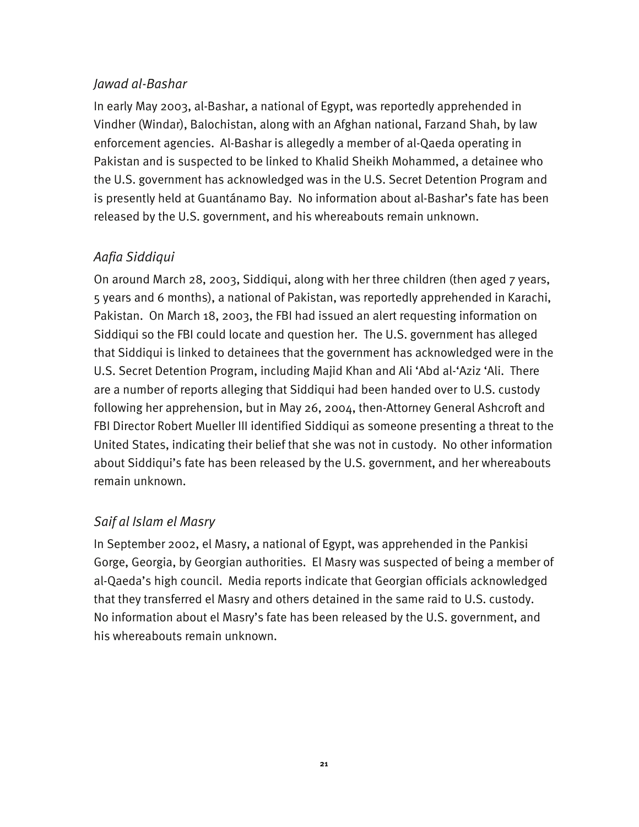#### *Jawad al-Bashar*

In early May 2003, al-Bashar, a national of Egypt, was reportedly apprehended in Vindher (Windar), Balochistan, along with an Afghan national, Farzand Shah, by law enforcement agencies. Al-Bashar is allegedly a member of al-Qaeda operating in Pakistan and is suspected to be linked to Khalid Sheikh Mohammed, a detainee who the U.S. government has acknowledged was in the U.S. Secret Detention Program and is presently held at Guantánamo Bay. No information about al-Bashar's fate has been released by the U.S. government, and his whereabouts remain unknown.

## *Aafia Siddiqui*

On around March 28, 2003, Siddiqui, along with her three children (then aged 7 years, 5 years and 6 months), a national of Pakistan, was reportedly apprehended in Karachi, Pakistan. On March 18, 2003, the FBI had issued an alert requesting information on Siddiqui so the FBI could locate and question her. The U.S. government has alleged that Siddiqui is linked to detainees that the government has acknowledged were in the U.S. Secret Detention Program, including Majid Khan and Ali 'Abd al-'Aziz 'Ali. There are a number of reports alleging that Siddiqui had been handed over to U.S. custody following her apprehension, but in May 26, 2004, then-Attorney General Ashcroft and FBI Director Robert Mueller III identified Siddiqui as someone presenting a threat to the United States, indicating their belief that she was not in custody. No other information about Siddiqui's fate has been released by the U.S. government, and her whereabouts remain unknown.

## *Saif al Islam el Masry*

In September 2002, el Masry, a national of Egypt, was apprehended in the Pankisi Gorge, Georgia, by Georgian authorities. El Masry was suspected of being a member of al-Qaeda's high council. Media reports indicate that Georgian officials acknowledged that they transferred el Masry and others detained in the same raid to U.S. custody. No information about el Masry's fate has been released by the U.S. government, and his whereabouts remain unknown.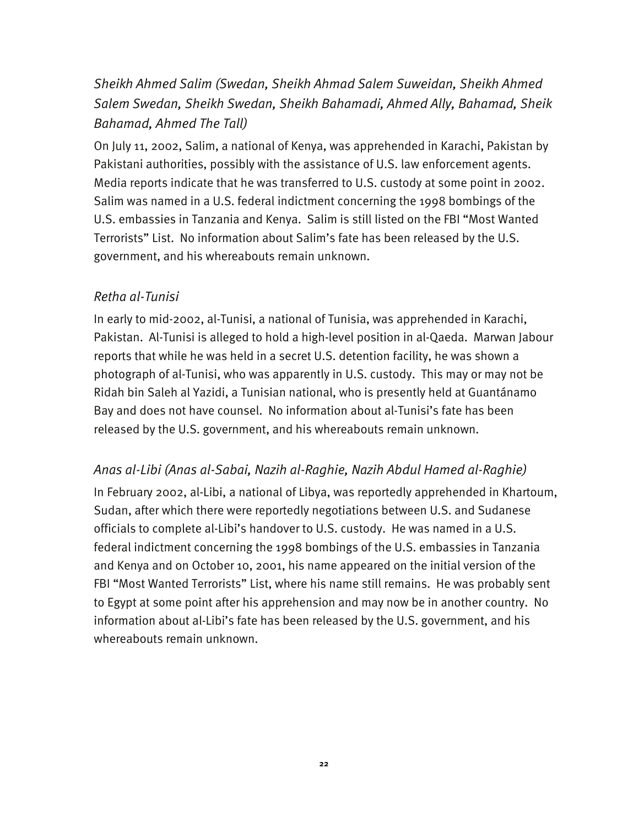# *Sheikh Ahmed Salim (Swedan, Sheikh Ahmad Salem Suweidan, Sheikh Ahmed Salem Swedan, Sheikh Swedan, Sheikh Bahamadi, Ahmed Ally, Bahamad, Sheik Bahamad, Ahmed The Tall)*

On July 11, 2002, Salim, a national of Kenya, was apprehended in Karachi, Pakistan by Pakistani authorities, possibly with the assistance of U.S. law enforcement agents. Media reports indicate that he was transferred to U.S. custody at some point in 2002. Salim was named in a U.S. federal indictment concerning the 1998 bombings of the U.S. embassies in Tanzania and Kenya. Salim is still listed on the FBI "Most Wanted Terrorists" List. No information about Salim's fate has been released by the U.S. government, and his whereabouts remain unknown.

#### *Retha al-Tunisi*

In early to mid-2002, al-Tunisi, a national of Tunisia, was apprehended in Karachi, Pakistan. Al-Tunisi is alleged to hold a high-level position in al-Qaeda. Marwan Jabour reports that while he was held in a secret U.S. detention facility, he was shown a photograph of al-Tunisi, who was apparently in U.S. custody. This may or may not be Ridah bin Saleh al Yazidi, a Tunisian national, who is presently held at Guantánamo Bay and does not have counsel. No information about al-Tunisi's fate has been released by the U.S. government, and his whereabouts remain unknown.

*Anas al-Libi (Anas al-Sabai, Nazih al-Raghie, Nazih Abdul Hamed al-Raghie)* 

In February 2002, al-Libi, a national of Libya, was reportedly apprehended in Khartoum, Sudan, after which there were reportedly negotiations between U.S. and Sudanese officials to complete al-Libi's handover to U.S. custody. He was named in a U.S. federal indictment concerning the 1998 bombings of the U.S. embassies in Tanzania and Kenya and on October 10, 2001, his name appeared on the initial version of the FBI "Most Wanted Terrorists" List, where his name still remains. He was probably sent to Egypt at some point after his apprehension and may now be in another country. No information about al-Libi's fate has been released by the U.S. government, and his whereabouts remain unknown.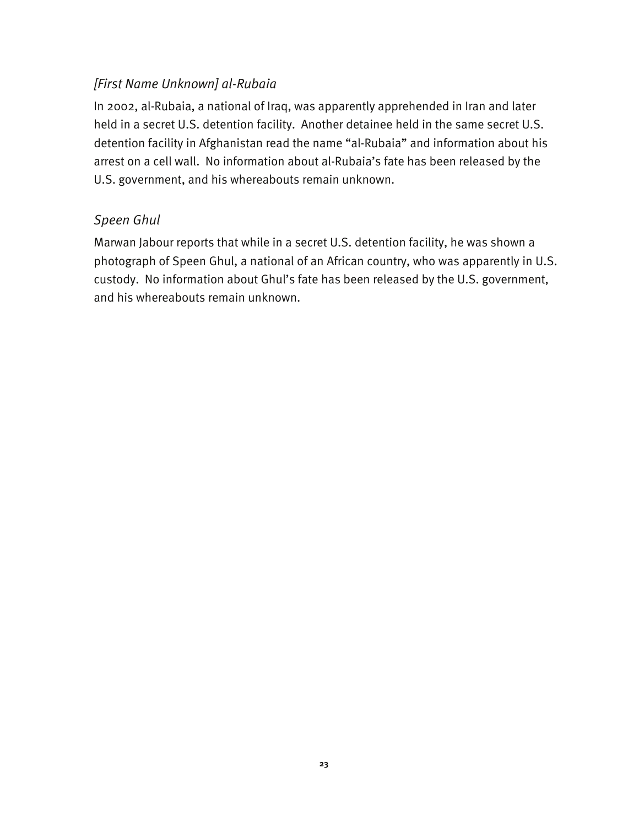### *[First Name Unknown] al-Rubaia*

In 2002, al-Rubaia, a national of Iraq, was apparently apprehended in Iran and later held in a secret U.S. detention facility. Another detainee held in the same secret U.S. detention facility in Afghanistan read the name "al-Rubaia" and information about his arrest on a cell wall. No information about al-Rubaia's fate has been released by the U.S. government, and his whereabouts remain unknown.

#### *Speen Ghul*

Marwan Jabour reports that while in a secret U.S. detention facility, he was shown a photograph of Speen Ghul, a national of an African country, who was apparently in U.S. custody. No information about Ghul's fate has been released by the U.S. government, and his whereabouts remain unknown.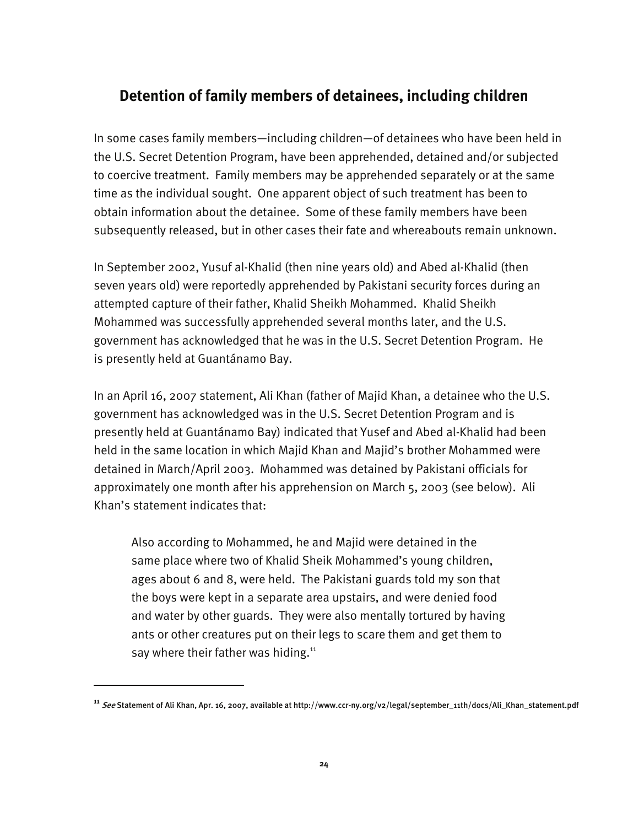## **Detention of family members of detainees, including children**

In some cases family members—including children—of detainees who have been held in the U.S. Secret Detention Program, have been apprehended, detained and/or subjected to coercive treatment. Family members may be apprehended separately or at the same time as the individual sought. One apparent object of such treatment has been to obtain information about the detainee. Some of these family members have been subsequently released, but in other cases their fate and whereabouts remain unknown.

In September 2002, Yusuf al-Khalid (then nine years old) and Abed al-Khalid (then seven years old) were reportedly apprehended by Pakistani security forces during an attempted capture of their father, Khalid Sheikh Mohammed. Khalid Sheikh Mohammed was successfully apprehended several months later, and the U.S. government has acknowledged that he was in the U.S. Secret Detention Program. He is presently held at Guantánamo Bay.

In an April 16, 2007 statement, Ali Khan (father of Majid Khan, a detainee who the U.S. government has acknowledged was in the U.S. Secret Detention Program and is presently held at Guantánamo Bay) indicated that Yusef and Abed al-Khalid had been held in the same location in which Majid Khan and Majid's brother Mohammed were detained in March/April 2003. Mohammed was detained by Pakistani officials for approximately one month after his apprehension on March 5, 2003 (see below). Ali Khan's statement indicates that:

Also according to Mohammed, he and Majid were detained in the same place where two of Khalid Sheik Mohammed's young children, ages about 6 and 8, were held. The Pakistani guards told my son that the boys were kept in a separate area upstairs, and were denied food and water by other guards. They were also mentally tortured by having ants or other creatures put on their legs to scare them and get them to say where their father was hiding.<sup>11</sup>

I

**<sup>11</sup>** See Statement of Ali Khan, Apr. 16, 2007, available at http://www.ccr-ny.org/v2/legal/september\_11th/docs/Ali\_Khan\_statement.pdf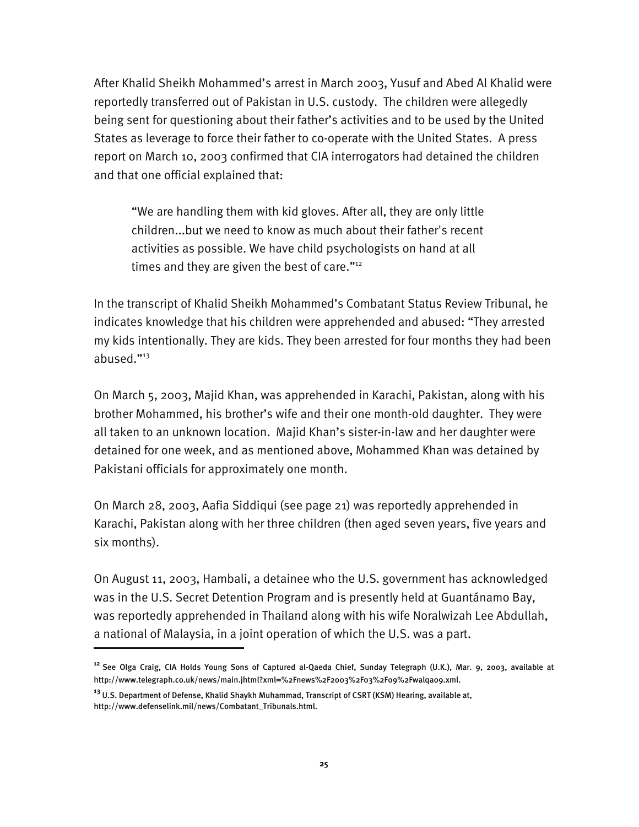After Khalid Sheikh Mohammed's arrest in March 2003, Yusuf and Abed Al Khalid were reportedly transferred out of Pakistan in U.S. custody. The children were allegedly being sent for questioning about their father's activities and to be used by the United States as leverage to force their father to co-operate with the United States. A press report on March 10, 2003 confirmed that CIA interrogators had detained the children and that one official explained that:

"We are handling them with kid gloves. After all, they are only little children...but we need to know as much about their father's recent activities as possible. We have child psychologists on hand at all times and they are given the best of care."<sup>12</sup>

In the transcript of Khalid Sheikh Mohammed's Combatant Status Review Tribunal, he indicates knowledge that his children were apprehended and abused: "They arrested my kids intentionally. They are kids. They been arrested for four months they had been abused."13

On March 5, 2003, Majid Khan, was apprehended in Karachi, Pakistan, along with his brother Mohammed, his brother's wife and their one month-old daughter. They were all taken to an unknown location. Majid Khan's sister-in-law and her daughter were detained for one week, and as mentioned above, Mohammed Khan was detained by Pakistani officials for approximately one month.

On March 28, 2003, Aafia Siddiqui (see page 21) was reportedly apprehended in Karachi, Pakistan along with her three children (then aged seven years, five years and six months).

On August 11, 2003, Hambali, a detainee who the U.S. government has acknowledged was in the U.S. Secret Detention Program and is presently held at Guantánamo Bay, was reportedly apprehended in Thailand along with his wife Noralwizah Lee Abdullah, a national of Malaysia, in a joint operation of which the U.S. was a part.

-

**<sup>12</sup>** See Olga Craig, CIA Holds Young Sons of Captured al-Qaeda Chief, Sunday Telegraph (U.K.), Mar. 9, 2003, available at http://www.telegraph.co.uk/news/main.jhtml?xml=%2Fnews%2F2003%2F03%2F09%2Fwalqa09.xml.

**<sup>13</sup>** U.S. Department of Defense, Khalid Shaykh Muhammad, Transcript of CSRT (KSM) Hearing, available at, http://www.defenselink.mil/news/Combatant\_Tribunals.html.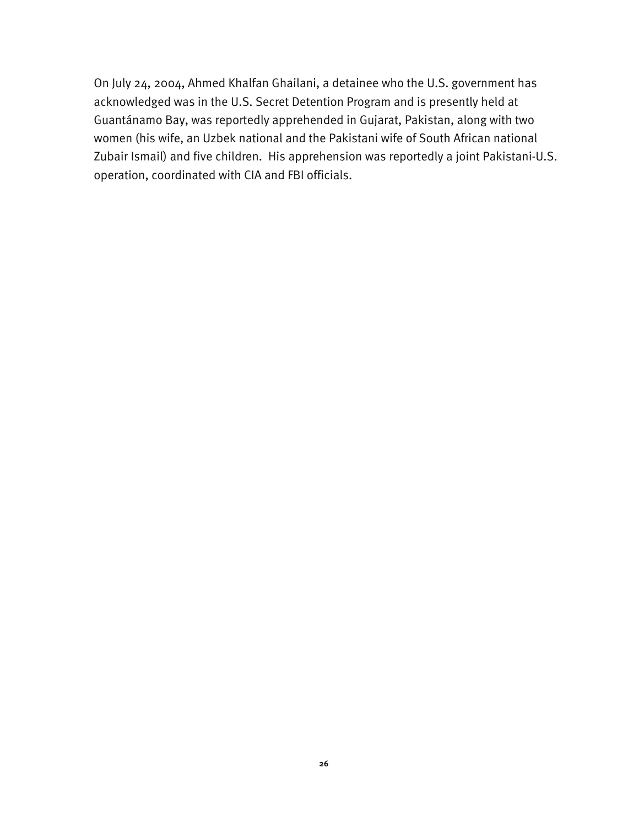On July 24, 2004, Ahmed Khalfan Ghailani, a detainee who the U.S. government has acknowledged was in the U.S. Secret Detention Program and is presently held at Guantánamo Bay, was reportedly apprehended in Gujarat, Pakistan, along with two women (his wife, an Uzbek national and the Pakistani wife of South African national Zubair Ismail) and five children. His apprehension was reportedly a joint Pakistani-U.S. operation, coordinated with CIA and FBI officials.